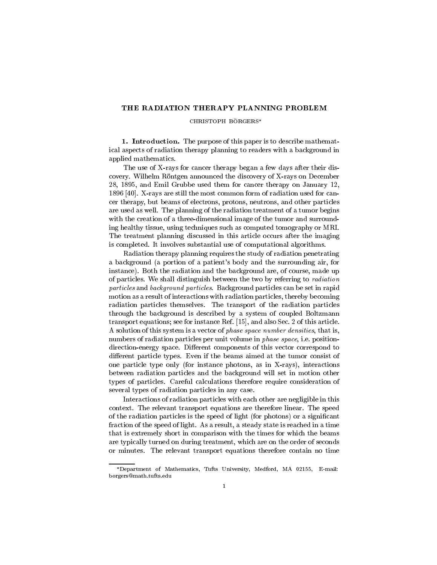# THE RADIATION THERAPY PLANNING PROBLEM

## CHRISTOPH BÖRGERS\*

1. Introduction. The purpose of this paper is to describe mathematical aspects of radiation therapy planning to readers with a background in applied mathematics

The use of X-rays for cancer therapy began a few days after their discovery, wi<del>ll an ontwice the discovery of the discovery of Xrays on December 20</del> 28, 1895, and Emil Grubbe used them for cancer therapy on January 12,  $X$ rays are still the most common form of radiation used for canonical the most common form of  $\mathcal{X}$ cer therapy, but beams of electrons, protons, neutrons, and other particles are used as well. The planning of the radiation treatment of a tumor begins with the creation of a three-dimensional image of the tumor and surrounding healthy tissue, using techniques such as computed tomography or MRI. The treatment planning discussed in this article occurs after the imaging is completed. It involves substantial use of computational algorithms.

Radiation therapy planning requires the study of radiation penetrating a background (a portion of a patient's body and the surrounding air, for instance). Both the radiation and the background are, of course, made up of particles. We shall distinguish between the two by referring to *radiation*  $p$ articles and background particles. Background particles can be set in rapid  $p$ motion as a result of interactions with radiation particles, thereby becoming radiation particles themselves. The transport of the radiation particles through the background is described by a system of coupled Boltzmann transport equations see for instance and instance  $\mathcal{L}$  is also see for the form articles. A solution of this system is a vector of *phase space number densities*, that is, numbers of radiation particles per unit volume in *phase space*, i.e. positiondirection-energy space. Different components of this vector correspond to different particle types. Even if the beams aimed at the tumor consist of one particle type only (for instance photons, as in X-rays), interactions between radiation particles and the background will set in motion other types of particles. Careful calculations therefore require consideration of several types of radiation particles in any case

Interactions of radiation particles with each other are negligible in this context. The relevant transport equations are therefore linear. The speed of the radiation particles is the speed of light (for photons) or a significant fraction of the speed of light. As a result, a steady state is reached in a time that is extremely short in comparison with the times for which the beams are typically turned on during treatment, which are on the order of seconds or minutes. The relevant transport equations therefore contain no time

<sup>-</sup>Department of Mathematics, Tufts University, Mediord, MA 02155, E-mail: borgers@math.tufts.edu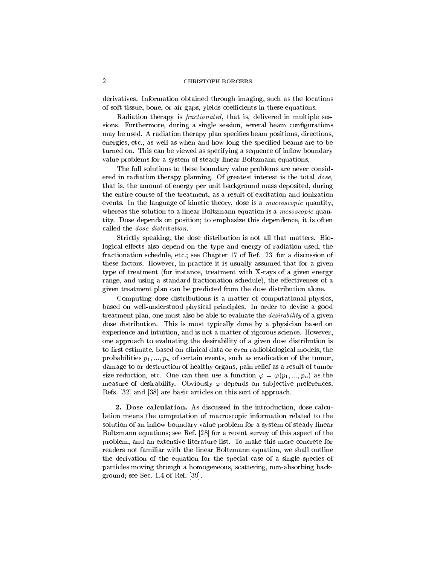derivatives. Information obtained through imaging, such as the locations of soft tissue, bone, or air gaps, yields coefficients in these equations.

Radiation therapy is *fractionated*, that is, delivered in multiple sessions. Furthermore, during a single session, several beam configurations may be used. A radiation therapy plan specifies beam positions, directions, energies, etc., as well as when and how long the specified beams are to be turned on. This can be viewed as specifying a sequence of inflow boundary value problems for a system of steady linear Boltzmann equations

The full solutions to these boundary value problems are never consid ered in radiation therapy planning. Of greatest interest is the total dose, that is, the amount of energy per unit background mass deposited, during the entire course of the treatment, as a result of excitation and ionization events. In the language of kinetic theory, dose is a *macroscopic* quantity, whereas the solution to a linear Boltzmann equation is a *mesoscopic* quantity. Dose depends on position; to emphasize this dependence, it is often called the dose distribution

Strictly speaking, the dose distribution is not all that matters. Biological effects also depend on the type and energy of radiation used, the fractionation schedule etc see Chapter of Ref for a discussion of these factors. However, in practice it is usually assumed that for a given type of treatment (for instance, treatment with X-rays of a given energy range, and using a standard fractionation schedule), the effectiveness of a given treatment plan can be predicted from the dose distribution alone

Computing dose distributions is a matter of computational physics based on well-understood physical principles. In order to devise a good treatment plan, one must also be able to evaluate the *desirability* of a given dose distribution. This is most typically done by a physician based on experience and intuition, and is not a matter of rigorous science. However, one approach to evaluating the desirability of a given dose distribution is to first estimate, based on clinical data or even radiobiological models, the probabilities  $p_1, ..., p_n$  of certain events, such as eradication of the tumor, damage to or destruction of healthy organs pain relief as a result of tumor size reduction, etc. One can then use a function  $\varphi = \varphi(p_1, ..., p_n)$  as the measure of desirability Obviously - depends on sub jective preferences are basic articles on the sort of a sort of a property of a supplementary of a society of a society of a society

- Dose calculation As discussed in the introduction dose calcu lation means the computation of macroscopic information related to the solution of an inflow boundary value problem for a system of steady linear a for a recent surface as seen for the fact of the fact of the surface  $\alpha$  as  $\alpha$  as  $\alpha$ problem, and an extensive literature list. To make this more concrete for readers not familiar with the linear Boltzmann equation we shall outline the derivation of the equation for the special case of a single species of particles moving through a homogeneous, scattering, non-absorbing background see Sec of Ref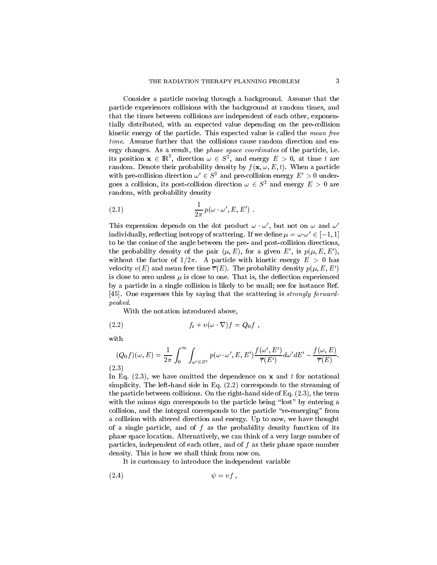Consider a particle moving through a background. Assume that the particle experiences collisions with the background at random times and that the times between collisions are independent of each other, exponentially distributed, with an expected value depending on the pre-collision kinetic energy of the particle. This expected value is called the mean free time. Assume further that the collisions cause random direction and energy changes. As a result, the *phase space coordinates* of the particle, i.e. its position  $\mathbf{x} \in \mathbb{R}^n$ , direction  $\omega \in S^*$ , and energy  $E > 0$ , at time t are random. Denote their probability density by  $f(\mathbf{x}, \omega, E, t)$ . When a particle with pre-coinsion direction  $\omega_{\varepsilon} \in S^-$  and pre-coinsion energy  $E > 0$  undergoes a comision, its post-comision direction  $\omega \in S$  -and energy  $E > 0$  are random, with probability density

(2.1) 
$$
\frac{1}{2\pi} p(\omega \cdot \omega', E, E') .
$$

This expression depends on the dot product  $\omega \cdot \omega'$ , but not on  $\omega$  and  $\omega'$ individually, reflecting isotropy of scattering. If we define  $\mu = \omega \cdot \omega \in [-1,1]$ to be the cosine of the angle between the pre- and post-collision directions, the probability density of the pair  $(\mu, E)$ , for a given E', is  $p(\mu, E, E')$ , without the factor of  $1/2\pi$ . A particle with kinetic energy  $E > 0$  has velocity  $v(E)$  and mean free time  $\overline{\tau}(E)$ . The probability density  $p(\mu, E, E')$ is close to zero unless  $\mu$  is close to one. That is, the deflection experienced by a particle in a single collision is likely to be small; see for instance Ref. One expresses this by saying that the scattering is strongly forward peaked

With the notation introduced above

$$
(2.2) \t\t f_t + v(\omega \cdot \nabla)f = Q_0f,
$$

$$
(Q_0 f)(\omega, E) = \frac{1}{2\pi} \int_0^\infty \int_{\omega' \in S^2} p(\omega \cdot \omega', E, E') \frac{f(\omega', E')}{\overline{\tau}(E')} d\omega' dE' - \frac{f(\omega, E)}{\overline{\tau}(E)}.
$$
\n(2.3)

In Eq.  $(2.3)$ , we have omitted the dependence on **x** and t for notational simplicity. The left-hand side in Eq.  $(2.2)$  corresponds to the streaming of the particle between collisions. On the right-hand side of Eq.  $(2.3)$ , the term with the minus sign corresponds to the particle being "lost" by entering a collision, and the integral corresponds to the particle "re-emerging" from a collision with altered direction and energy. Up to now, we have thought of a single particle, and of  $f$  as the probability density function of its phase space location Alternatively we can think of a very large number of particles, independent of each other, and of  $f$  as their phase space number density. This is how we shall think from now on.

It is customary to introduce the independent variable

$$
\psi = vf ,
$$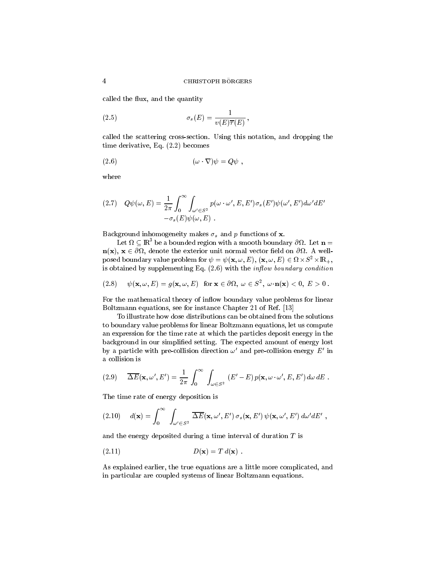called the flux, and the quantity

(2.5) 
$$
\sigma_s(E) = \frac{1}{v(E)\overline{\tau}(E)},
$$

called the scattering cross-section. Using this notation, and dropping the time derivative, Eq.  $(2.2)$  becomes

$$
(\omega \cdot \nabla)\psi = Q\psi ,
$$

where

$$
(2.7) \quad Q\psi(\omega, E) = \frac{1}{2\pi} \int_0^\infty \int_{\omega' \in S^2} p(\omega \cdot \omega', E, E') \sigma_s(E') \psi(\omega', E') d\omega' dE' - \sigma_s(E) \psi(\omega, E) .
$$

Background inhomogeneity makes <sup>s</sup> and <sup>p</sup> functions of x

Let  $\Omega \subseteq \mathbb{R}^3$  be a bounded region with a smooth boundary  $\partial \Omega$ . Let  $\mathbf{n} =$  $\mathbf{n}(\mathbf{x}), \mathbf{x} \in \partial\Omega$ , denote the exterior unit normal vector field on  $\partial\Omega$ . A wellposed boundary value problem for  $\psi = \psi(\mathbf{x}, \omega, E)$ ,  $(\mathbf{x}, \omega, E) \in \Omega \times S \times \mathbb{R}_{++}$ , is obtained by supplementing Eq.  $(2.6)$  with the *inflow boundary condition* 

$$
(2.8) \qquad \psi(\mathbf{x},\omega,E) = g(\mathbf{x},\omega,E) \quad \text{for } \mathbf{x} \in \partial\Omega, \ \omega \in S^2, \ \omega \cdot \mathbf{n}(\mathbf{x}) < 0, \ E > 0 \ .
$$

For the mathematical theory of inflow boundary value problems for linear Boltzmann equations see for instance Chapter of Ref

To illustrate how dose distributions can be obtained from the solutions to boundary value problems for linear Boltzmann equations, let us compute an expression for the time rate at which the particles deposit energy in the background in our simplied setting The expected amount of energy lost by a particle with pre-collision direction  $\omega'$  and pre-collision energy E' in a collision is

(2.9) 
$$
\overline{\Delta E}(\mathbf{x}, \omega', E') = \frac{1}{2\pi} \int_0^\infty \int_{\omega \in S^2} (E' - E) p(\mathbf{x}, \omega \cdot \omega', E, E') d\omega dE.
$$

The time rate of energy deposition is

$$
(2.10) \quad d(\mathbf{x}) = \int_0^\infty \int_{\omega' \in S^2} \overline{\Delta E}(\mathbf{x}, \omega', E') \, \sigma_s(\mathbf{x}, E') \, \psi(\mathbf{x}, \omega', E') \, d\omega' dE' ,
$$

and the energy deposited during a time interval of duration  $T$  is

$$
(2.11) \t\t D(\mathbf{x}) = T d(\mathbf{x}).
$$

As explained earlier, the true equations are a little more complicated, and in particular are coupled systems of linear Boltzmann equations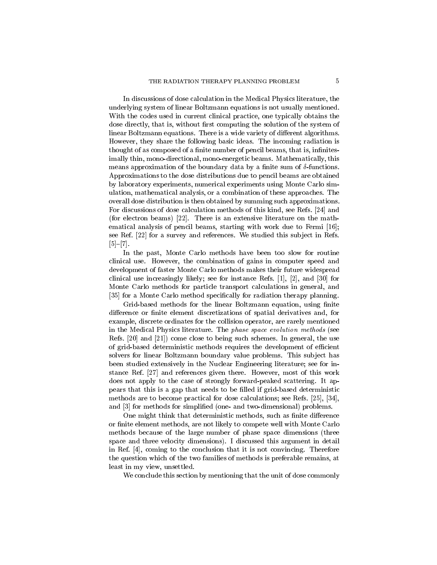In discussions of dose calculation in the Medical Physics literature, the underlying system of linear Boltzmann equations is not usually mentioned With the codes used in current clinical practice, one typically obtains the dose directly, that is, without first computing the solution of the system of linear Boltzmann equations. There is a wide variety of different algorithms. However, they share the following basic ideas. The incoming radiation is thought of as composed of a finite number of pencil beams, that is, infinitesimally thin, mono-directional, mono-energetic beams. Mathematically, this means approximation of the boundary data by a finite sum of  $\delta$ -functions. Approximations to the dose distributions due to pencil beams are obtained by laboratory experiments numerical experiments using Monte Carlo sim ulation, mathematical analysis, or a combination of these approaches. The overall dose distribution is then obtained by summing such approximations For discussions of dose calculation methods of this kind see Refs and for electron beams There is an extensive literature on the math ematical analysis of pencil beams starting with work due to Fermi see Ref in a survey and references We studied this survey and references We studied this substitution in Refs. 

In the past, Monte Carlo methods have been too slow for routine clinical use. However, the combination of gains in computer speed and development of faster Monte Carlo methods makes their future widespread clinical use in the form of interest and instance references and instance references and instance references and Monte Carlo methods for particle transport calculations in general, and for a Monte Carlo method specically for radiation therapy planning

Grid-based methods for the linear Boltzmann equation, using finite difference or finite element discretizations of spatial derivatives and, for example, discrete ordinates for the collision operator, are rarely mentioned in the Medical Physics literature. The phase space evolution methods (see refers and the come come in the use the use of the use  $\pi$  , and the use  $\pi$ of grid-based deterministic methods requires the development of efficient solvers for linear Boltzmann boundary value problems. This subject has been studied extensively in the Nuclear Engineering literature; see for instance Ref and references given there However most of this work does not apply to the case of strongly forward-peaked scattering. It appears that this is a gap that needs to be filled if grid-based deterministic methods are to become practical for dose calculations see Refs and is an one contract for simplicity (the contract contract one) problemsion and

One might think that deterministic methods, such as finite difference or finite element methods, are not likely to compete well with Monte Carlo methods because of the large number of phase space dimensions (three space and three velocity dimensions). I discussed this argument in detail in Ref  $c$  to the conclusion that it is not convincing Therefore that it is not convincing Therefore  $\Box$ the question which of the two families of methods is preferable remains, at least in my view, unsettled.

We conclude this section by mentioning that the unit of dose commonly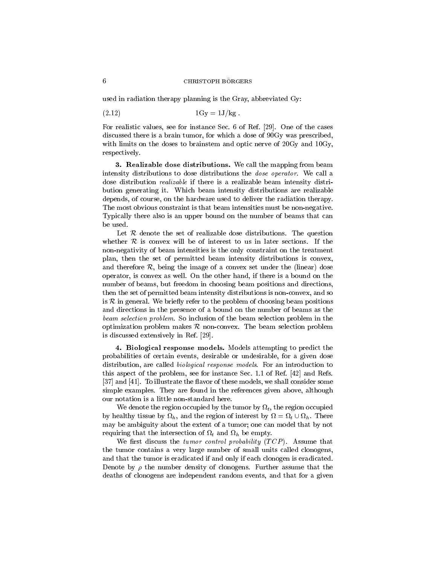used in radiation therapy planning is the Gray abbreviated Gy

$$
(2.12) \t\t 1Gy = 1J/kg.
$$

For realistic values see for instance Sec of Ref One of the cases discussed there is a brain tumor, for which a dose of 90Gy was prescribed, with limits on the doses to brainstem and optic nerve of  $20Gy$  and  $10Gy$ , respectively

**3. Realizable dose distributions.** We call the mapping from beam intensity distributions to dose distributions the *dose operator*. We call a dose distribution realizable if there is a realizable beam intensity distri bution generating it Which beam intensity distributions are realizable depends, of course, on the hardware used to deliver the radiation therapy. The most obvious constraint is that beam intensities must be non-negative. Typically there also is an upper bound on the number of beams that can be used.

Let  $\mathcal R$  denote the set of realizable dose distributions. The question whether  $R$  is convex will be of interest to us in later sections. If the non-negativity of beam intensities is the only constraint on the treatment plan, then the set of permitted beam intensity distributions is convex, and therefore  $\mathcal{R}$ , being the image of a convex set under the (linear) dose operator is convex as well On the other hand if there is a bound on the number of beams, but freedom in choosing beam positions and directions, then the set of permitted beam intensity distributions is nonconvex and so is  $R$  in general. We briefly refer to the problem of choosing beam positions and directions in the presence of a bound on the number of beams as the beam selection problem. So inclusion of the beam selection problem in the optimization problem makes  $R$  non-convex. The beam selection problem is discussed extensively in Ref. , we can extensive the contract of  $\mathbf{r}$ 

4. Biological response models. Models attempting to predict the probabilities of certain events, desirable or undesirable, for a given dose distribution, are called *biological response models*. For an introduction to this aspect to this problem see for instance in the sec  $\sim$  and  $\sim$ , and in the second the avorage models we shall consider some shall consider some some some some some some some simple examples. They are found in the references given above, although our notation is a little non-standard here.

We denote the region occupied by the tumor by  $\Omega_t$ , the region occupied by healthy tissue by  $\Omega_h$ , and the region of interest by  $\Omega = \Omega_t \cup \Omega_h$ . There may be ambiguity about the extent of a tumor; one can model that by not requiring that the intersection of  $\Omega_t$  and  $\Omega_h$  be empty.

We first discuss the tumor control probability  $(TCP)$ . Assume that the tumor contains a very large number of small units called clonogens and that the tumor is eradicated if and only if each clonogen is eradicated Denote by  $\rho$  the number density of clonogens. Further assume that the deaths of clonogens are independent random events, and that for a given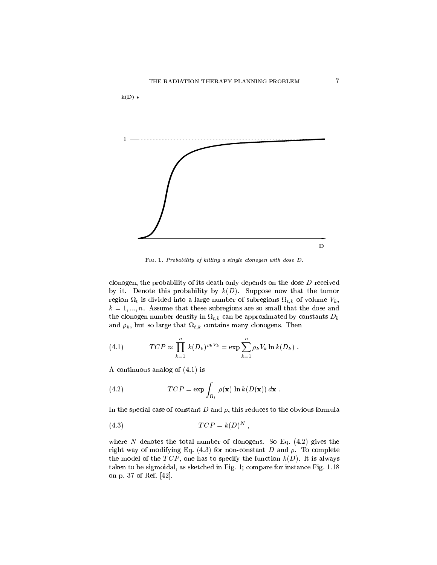

FIG. 1. Probability of killing a single clonogen with dose  $D$ .

clonogen, the probability of its death only depends on the dose  $D$  received by it. Denote this probability by  $k(D)$ . Suppose now that the tumor region  $\Omega_t$  is divided into a large number of subregions  $\Omega_{t,k}$  of volume  $V_k$ ,  $\alpha = 1, ..., n$ . Assume that these subregions are so small that the dose and the clonogen number density in  $\Omega_{t,k}$  can be approximated by constants  $D_k$ and  $\rho_k$ , but so large that  $\Omega_{t,k}$  contains many clonogens. Then

(4.1) 
$$
TCP \approx \prod_{k=1}^{n} k(D_k)^{\rho_k V_k} = \exp \sum_{k=1}^{n} \rho_k V_k \ln k(D_k).
$$

A continuous analog of  $(4.1)$  is

(4.2) 
$$
TCP = \exp \int_{\Omega_t} \rho(\mathbf{x}) \ln k(D(\mathbf{x})) d\mathbf{x} .
$$

In the special case of constant D and  $\rho$ , this reduces to the obvious formula

$$
(4.3) \tTCP = k(D)^N,
$$

where N denotes the total number of clonogens. So Eq.  $(4.2)$  gives the right way of modifying Eq. (4.3) for non-constant D and  $\rho$ . To complete the model of the  $TCP$ , one has to specify the function  $k(D)$ . It is always taken to be sigmoidal, as sketched in Fig. 1; compare for instance Fig. 1.18 on p on the contract of the contract of the contract of the contract of the contract of the contract of the contract of the contract of the contract of the contract of the contract of the contract of the contract of the co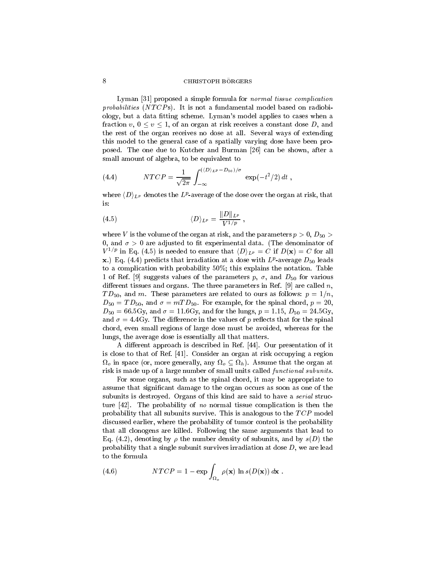$\mathbf{p}$  right proposed a simple formula for normal ussue complication probabilities (probability) of an fundamental model and have a fundamental model based on radiobilities on  $\mathcal{L}$ ology, but a data fitting scheme. Lyman's model applies to cases when a fraction  $v, 0 \le v \le 1$ , of an organ at risk receives a constant dose D, and the rest of the organ receives no dose at all. Several ways of extending this model to the general case of a spatially varying dose have been pro posed The one due to Kutcher and Burman paper and the shown after a small amount of algebra, to be equivalent to

(4.4) 
$$
NTCP = \frac{1}{\sqrt{2\pi}} \int_{-\infty}^{(\langle D \rangle_{LP} - D_{50})/\sigma} \exp(-t^2/2) dt,
$$

where  $\langle D \rangle_{L^p}$  denotes the  $L^p$ -average of the dose over the organ at risk, that is

$$
(4.5) \t\t \langle D \rangle_{L^p} = \frac{\|D\|_{L^p}}{V^{1/p}} \;,
$$

where V is the volume of the organ at risk, and the parameters  $p > 0$ ,  $D_{50} >$  $\sigma$ , and  $\sigma > 0$  are adjusted to in experimental data. The denominator of  $V^{1/p}$  in Eq. (4.5) is needed to ensure that  $\langle D \rangle_{L^p} = C$  if  $D(\mathbf{x}) = C$  for all  $\mathbf{v}^{-p}$  in Eq. (4.5) is needed to ensure that  $\langle D \rangle_{L^p} = C$  if  $D(\mathbf{x}) = C$  for all  $\mathbf{x}$ .) Eq. (4.4) predicts that irradiation at a dose with  $L^p$ -average  $D_{50}$  leads to a complication with probability  $50\%$ ; this explains the notation. Table  $\mathbf{r}$  and  $\mathbf{r}$  and  $\mathbf{r}$  are parameters of the parameters  $\mathbf{r}$  ,  $\mathbf{r}$  ,  $\mathbf{r}$  and  $\mathbf{r}$  and  $\mathbf{r}$  and  $\mathbf{r}$  and  $\mathbf{r}$  and  $\mathbf{r}$  and  $\mathbf{r}$  and  $\mathbf{r}$  and  $\mathbf{r}$  and  $\mathbf{r}$  and dierent tissues and organise in the three parameters in Ref ( ) was awarded to  $TD_{50}$ , and m. These parameters are related to ours as follows:  $p = 1/n$ ,  $D_{50} = 1 D_{50}$ , and  $\sigma = mT D_{50}$ . For example, for the spinal chord,  $\rho = 20$ ,  $\Gamma$  , and for the lungs proposed proposed proposed proposed proposed proposed proposed proposed proposed proposed proposed proposed proposed proposed proposed proposed proposed proposed proposed proposed proposed propose and  $\sigma$  and die values of the value interest of p reflects that for the spinal. chord, even small regions of large dose must be avoided, whereas for the lungs, the average dose is essentially all that matters.

A dierent approach is described in Ref Our presentation of it is close to that of Ref Consider an organ at risk occupying a region  $\Omega_o$  in space (or, more generally, any  $\Omega_o \subseteq \Omega_h$ ). Assume that the organ at risk is made up of a large number of small units called *functional subunits*.

For some organs, such as the spinal chord, it may be appropriate to assume that signicant damage to the organ occurs as soon as one of the subunits is destroyed. Organs of this kind are said to have a *serial* structure probability of no normal tissue complication is the complete  $\alpha$ probability that all subunits survive. This is analogous to the  $TCP$  model discussed earlier, where the probability of tumor control is the probability that all clonogens are killed. Following the same arguments that lead to Eq. (4.2), denoting by  $\rho$  the number density of subunits, and by  $s(D)$  the probability that a single subunit survives irradiation at dose  $D$ , we are lead to the formula

(4.6) 
$$
NTCP = 1 - \exp \int_{\Omega_o} \rho(\mathbf{x}) \ln s(D(\mathbf{x})) d\mathbf{x}.
$$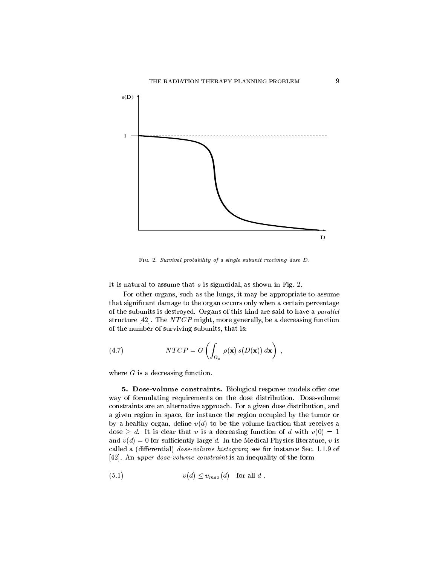

 $\mathbf{F}$ ig - Survival probability of a single subunit receiving abse D.

It is natural to assume that  $s$  is sigmoidal, as shown in Fig. 2.

For other organs, such as the lungs, it may be appropriate to assume that significant damage to the organ occurs only when a certain percentage of the subunits is destroyed. Organs of this kind are said to have a *parallel*  $\mathcal{L}$  structure generally be a decreasing function function of  $\mathcal{L}$  and  $\mathcal{L}$ of the number of surviving subunits, that is:

(4.7) 
$$
NTCP = G\left(\int_{\Omega_o} \rho(\mathbf{x}) s(D(\mathbf{x})) d\mathbf{x}\right),
$$

where  $G$  is a decreasing function.

5. Dose-volume constraints. Biological response models offer one way of formulating requirements on the dose distribution. Dose-volume constraints are an alternative approach For a given dose distribution and a given region in space, for instance the region occupied by the tumor or by a healthy organ, define  $v(d)$  to be the volume fraction that receives a dose  $\geq d$ . It is clear that v is a decreasing function of d with  $v(0) = 1$ and  $v(d) = 0$  for sufficiently large d. In the Medical Physics literature, v is called a (differential) dose-volume histogram; see for instance Sec.  $1.1.9$  of  $|42|$ . An upper ubse-volume constraint is an inequality of the form

$$
(5.1) \t v(d) \le v_{max}(d) \t \text{for all } d.
$$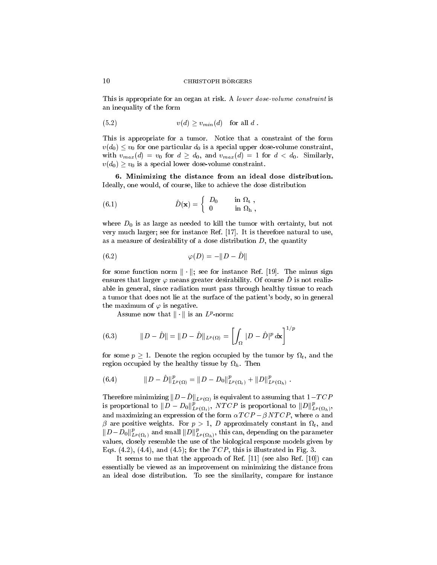This is appropriate for an organ at risk. A *lower dose-volume constraint* is an inequality of the form

$$
(5.2) \t v(d) \ge v_{min}(d) \t \text{ for all } d.
$$

This is appropriate for a tumor. Notice that a constraint of the form  $v(d_0) \leq v_0$  for one particular  $d_0$  is a special upper dose-volume constraint, with  $v_{max}(d) = v_0$  for  $d \geq d_0$ , and  $v_{max}(d) = 1$  for  $d < d_0$ . Similarly,  $v(d_0) \geq v_0$  is a special lower dose-volume constraint.

6. Minimizing the distance from an ideal dose distribution. Ideally, one would, of course, like to achieve the dose distribution

(6.1) 
$$
\hat{D}(\mathbf{x}) = \begin{cases} D_0 & \text{in } \Omega_{\text{t}} ,\\ 0 & \text{in } \Omega_{\text{h}} , \end{cases}
$$

where  $D_0$  is as large as needed to kill the tumor with certainty, but not very much larger see for instance Ref It is therefore natural to use as a measure of desirability of a dose distribution  $D$ , the quantity

$$
\varphi(D) = -\|D - D\|
$$

for some function norm kk see for instance Ref The minus sign ensures that larger  $\varphi$  means greater desirability. Or course  $D$  is not realizable in general, since radiation must pass through healthy tissue to reach a tumor that does not lie at the surface of the patient's body, so in general  $\mathbf{r}$  -  $\mathbf{r}$  -  $\mathbf{r}$  -  $\mathbf{r}$  -  $\mathbf{r}$  -  $\mathbf{r}$ 

Assume now that  $|| \cdot ||$  is an  $L^p$ -norm:

(6.3) 
$$
||D - \hat{D}|| = ||D - \hat{D}||_{L^{p}(\Omega)} = \left[ \int_{\Omega} |D - \hat{D}|^{p} d\mathbf{x} \right]^{1/p}
$$

for some  $p > 1$ . Denote the region occupied by the tumor by  $\Omega_t$ , and the region occupied by the healthy tissue by  $\Omega_h$ . Then

(6.4) 
$$
||D - \hat{D}||_{L^{p}(\Omega)}^{p} = ||D - D_{0}||_{L^{p}(\Omega_{t})}^{p} + ||D||_{L^{p}(\Omega_{h})}^{p}.
$$

I herefore minimizing  $\|D - D\|_{L^p(\Omega)}$  is equivalent to assuming that  $1 - I \cup I$ is proportional to  $\|D-D_0\|_{L^p(\Omega_t)}^r, \,NTCP$  is proportional to  $\|D\|_{L^p(\Omega_h)}^r,$ and maximizing and dependence of the form TCP -  $\mu$  -  $\mu$  -  $\mu$  $\rho$  are positive weights. For  $\rho > 1$ ,  $D$  approximately constant in  $\mathfrak{so}_t$ , and  $\|D-D_0\|_{L^p(\Omega_t)}^{\epsilon}$  and small  $\|D\|_{L^p(\Omega_h)}^{\epsilon},$  this can, depending on the parameter values closely resemble the use of the biological response models given by Eqs.  $(4.2)$ ,  $(4.4)$ , and  $(4.5)$ ; for the  $TCP$ , this is illustrated in Fig. 3.

es also Ref the also the approached to refer the product of Ref the Theory and the Company of Ref the Company of Ref the Company of the Company of the Company of the Company of the Company of the Company of the Company of essentially be viewed as an improvement on minimizing the distance from an ideal dose distribution. To see the similarity, compare for instance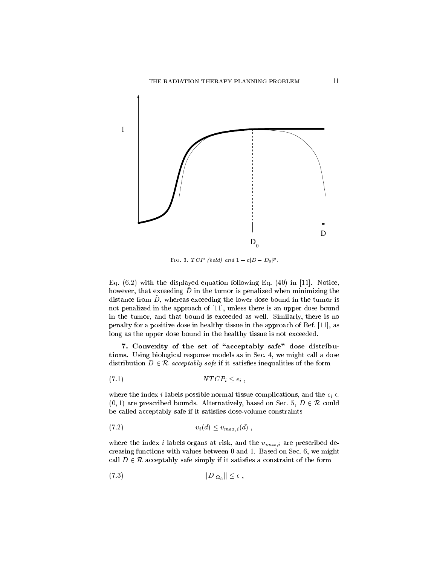

FIG. 3.  $I \cup P$  (bold) and  $I = c|D - D_0|^r$ .

 $\mathcal{L}$  , with the displayed equation following Eq. , and  $\mathcal{L}$  in the set of however, that exceeding  $D$  in the tumor is penalized when minimizing the  $\overline{\phantom{a}}$ distance from  $\hat{D}$ , whereas exceeding the lower dose bound in the tumor is not penalized in the approach of the approach of the approach of the approach of the approach of the approach in the tumor, and that bound is exceeded as well. Similarly, there is no penalty for a positive dose in healthy tissue in the approach of Ref as long as the upper dose bound in the healthy tissue is not exceeded.

convexiting, as the set of acceptable, and acceptable the set of  $\alpha$ tions. Using biological response models as in Sec. 4, we might call a dose distribution  $D \in \mathcal{R}$  acceptably safe if it satisfies inequalities of the form

$$
(7.1) \t NTCP_i \leq \epsilon_i ,
$$

where the index i labels possible normal tissue complications, and the  $\epsilon_i \in$  $(0,1)$  are prescribed bounds. Alternatively, based on Sec. 5,  $D \in \mathcal{R}$  could be called acceptably safe if it satisfies dose-volume constraints

$$
(7.2) \t v_i(d) \leq v_{max,i}(d) ,
$$

where the index i labels organs at risk, and the  $v_{max,i}$  are prescribed decreasing functions with values between  $0$  and  $1$ . Based on Sec. 6, we might call  $D \in \mathcal{R}$  acceptably safe simply if it satisfies a constraint of the form

<sup>k</sup>Djh k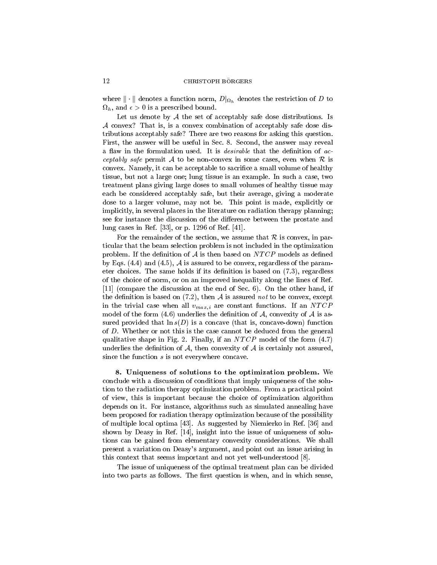where  $\|\cdot\|$  denotes a function norm,  $D|_{\Omega_h}$  denotes the restriction of D to  $\Omega_h$ , and  $\epsilon > 0$  is a prescribed bound.

Let us denote by  $A$  the set of acceptably safe dose distributions. Is  $A$  convex? That is, is a convex combination of acceptably safe dose distributions acceptably safe? There are two reasons for asking this question. First, the answer will be useful in Sec. 8. Second, the answer may reveal a flaw in the formulation used. It is *desirable* that the definition of  $ac$ ceptably safe permit A to be nonconvex in some cases even when  $\alpha$  is some when  $\alpha$ convex. Namely, it can be acceptable to sacrifice a small volume of healthy tissue, but not a large one; lung tissue is an example. In such a case, two treatment plans giving large doses to small volumes of healthy tissue may each be considered acceptably safe, but their average, giving a moderate dose to a larger volume, may not be. This point is made, explicitly or implicitly, in several places in the literature on radiation therapy planning; see for instance the discussion of the difference between the prostate and lung cases in Ref and the cases in Ref and the cases of Ref and Ref and Ref and Ref and Ref and Ref and Ref and

For the remainder of the section, we assume that  $R$  is convex, in particular that the beam selection problem is not included in the optimization problem. If the definition of  $A$  is then based on  $NTCP$  models as defined by Eqs.  $(4.4)$  and  $(4.5)$ , A is assured to be convex, regardless of the parameter choices. The same holds if its definition is based on  $(7.3)$ , regardless of the choice of norm, or on an improved inequality along the lines of Ref. compare the discussion at the end of Sec On the other hand if the definition is based on  $(7.2)$ , then A is assured not to be convex, except in the trivial case when all  $v_{max,i}$  are constant functions. If an  $NTCP$ model of the form (4.6) underlies the definition of A, convexity of A is assured provided that  $\ln s(D)$  is a concave (that is, concave-down) function of  $D$ . Whether or not this is the case cannot be deduced from the general qualitative shape in Fig. 2. Finally, if an  $NTCP$  model of the form  $(4.7)$ underlies the definition of  $A$ , then convexity of  $A$  is certainly not assured, since the function  $s$  is not everywhere concave.

8. Uniqueness of solutions to the optimization problem. We conclude with a discussion of conditions that imply uniqueness of the solu tion to the radiation therapy optimization problem. From a practical point of view, this is important because the choice of optimization algorithm depends on it. For instance, algorithms such as simulated annealing have been proposed for radiation therapy optimization because of the possibility of multiple local optima and the suggested by Niemierko in Ref and the Superior of the Superior Contract of the shown by Deasy in Ref , we define the into the issues of uniqueness of uniqueness of uniqueness of uniqueness of  $\alpha$ tions can be gained from elementary convexity considerations We shall present a variation on Deasy's argument, and point out an issue arising in this context that seems important and not yet wellunderstood

The issue of uniqueness of the optimal treatment plan can be divided into two parts as follows. The first question is when, and in which sense,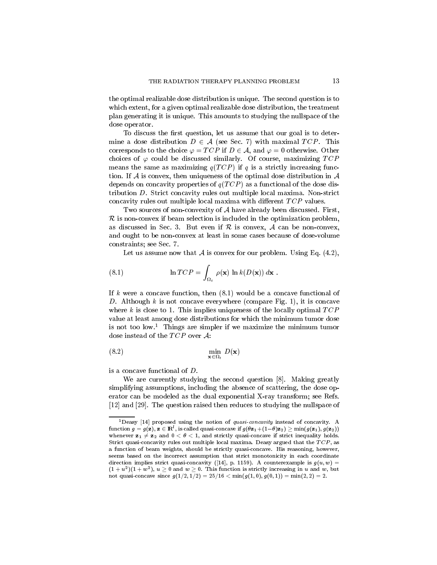the optimal realizable dose distribution is unique. The second question is to which extent, for a given optimal realizable dose distribution, the treatment plan generating it is unique This amounts to studying the nullspace of the dose operator

To discuss the first question, let us assume that our goal is to determine a dose distribution  $D \in \mathcal{A}$  (see Sec. 7) with maximal  $TCP$ . This corresponds to the choice - TCP if <sup>D</sup> A and -  otherwise Other choices of - could be discussed similarly Of course maximizing TCP - C means the same as maximizing  $q(TCP)$  if q is a strictly increasing function. If  $A$  is convex, then uniqueness of the optimal dose distribution in  $A$ depends on concavity properties of  $q(TCP)$  as a functional of the dose distribution  $D$ . Strict concavity rules out multiple local maxima. Non-strict concavity rules out multiple local maxima with different  $TCP$  values.

Two sources of non-convexity of  $A$  have already been discussed. First,  $\mathcal R$  is non-convex if beam selection is included in the optimization problem, as discussed in Sec. 3. But even if  $R$  is convex,  $A$  can be non-convex, and ought to be non-convex at least in some cases because of dose-volume constraints; see Sec. 7.

Let us assume now that A is convex for our problem. Using Eq.  $(4.2)$ ,

(8.1) 
$$
\ln TCP = \int_{\Omega_t} \rho(\mathbf{x}) \ln k(D(\mathbf{x})) d\mathbf{x} .
$$

If k were a concave function, then  $(8.1)$  would be a concave functional of D. Although  $k$  is not concave everywhere (compare Fig. 1), it is concave where k is close to 1. This implies uniqueness of the locally optimal  $TCP$ value at least among dose distributions for which the minimum tumor dose is not too low.<sup>1</sup> Things are simpler if we maximize the minimum tumor

(8.2) 
$$
\min_{\mathbf{x} \in \Omega_t} D(\mathbf{x})
$$

is a concave functional of D

we are currently studying the second questions  $|\psi\rangle$  , currently  $A$  , and  $A$ simplifying assumptions, including the absence of scattering, the dose operator can be modeled as the dual exponential X-ray transform; see Refs. and condition raised the study to study the study of the number of the number of the number of the number of t

<sup>-</sup>Deasy  $|14|$  proposed using the notion of  $quasi\text{-}contavity$  instead of concavity. A function  $q = q(\mathbf{z})$ ,  $\mathbf{z} \in \mathbb{R}^r$ , is called quasi-concave if  $q(\sigma \mathbf{z}_1 + (1-\sigma)\mathbf{z}_2) > \min(q(\mathbf{z}_1), q(\mathbf{z}_2))$ wherever  $\mathbf{z}_1$  ,  $\mathbf{z}_2$  and strictly the strictly quasiconcave is strictly modernity and strictly denotes Strict quasi-concavity rules out multiple local maxima. Deasy argued that the  $TCP$ , as a function of beam weights, should be strictly quasi-concave. His reasoning, however, seems based on the incorrect assumption that strict monotonicity in each coordinate direction implies strict quasi-concavity ( $[14]$ , p. 1159). A counterexample is  $q(u, w) =$  $(1 + u<sup>2</sup>)(1 + w<sup>2</sup>)$ ,  $u > 0$  and  $w > 0$ . This function is strictly increasing in u and w, but  $\max_{\{y_1, y_2, \ldots, y_n\}}$  since  $g(1/2, 1/2) = 20/10 < \min\{g(1, 0), g(0, 1)\} = \min\{2, 2\} = 2$ .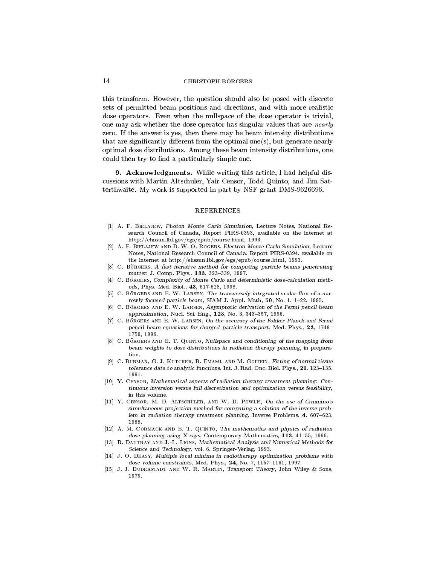this transform. However, the question should also be posed with discrete sets of permitted beam positions and directions and with more realistic dose operators. Even when the nullspace of the dose operator is trivial. one may ask whether the dose operator has singular values that are nearly zero. If the answer is yes, then there may be beam intensity distributions that are significantly different from the optimal one $(s)$ , but generate nearly optimal dose distributions Among these beam intensity distributions one could then try to find a particularly simple one.

9. Acknowledgments. While writing this article, I had helpful discussions with Martin Altschuler, Yair Censor, Todd Quinto, and Jim Satterthwaite. My work is supported in part by NSF grant DMS-9626696.

#### REFERENCES

- A F Bielajew Photon Monte Carlo Simulation Lecture Notes National Re search Council of Canada Report Pins for the internet at the internet at  $\hbox{http://ehssun.lbl.gov/egs/epub/course.html}, 1993.$
- A f Bielajew and D W O Rogers Electron Monte Carlo Simulation  $\mathcal{A}$ Notes National Research Council of Canada Report PIRS- available on the internet at  $http://ehssun.lbl.gov/egs/epub/course.html, 1993.$
- $\vert v \vert$  c. Bortonia, it has helded to method for computing particle beams penetrang matter, J. Comp. Phys., 133, 323-339, 1997.
- $\left| \cdot \right|$  of Boronte, compleme, of Monte Carlo and deterministic dose calculation method ods Physical Physical Physical Physical Physical Physical Physical Physical Physical Physical Physical Physical Physical Physical Physical Physical Physical Physical Physical Physical Physical Physical Physical Physical Ph
- $\vert \circ \vert$  c. Berneman integrated the Binandial integration integrated scalar inter of a narrow rowly focused particle beam, SIAM J. Appl. Math,  $50$ , No. 1, 1-22, 1995.
- $\mathbb{P}^1$  c. Bortonic and E will be an equipment asymptotic derivation of the Fermi pencil beam approximation, Nucl. Sci. Eng., 123, No. 3, 343-357, 1996.
- $\mathbb{R}^n$  critically and  $\mathbb{R}^n$  and  $\mathbb{R}^n$  on the accuracy of the Fohner fancismum and  $\mathbb{R}^n$ pencil beam equations for charged particle transport, Med. Phys.,  $23$ ,  $1749-$ 1759, 1996.
- $\vert v \vert$  c. Bonceling into E  $\vert$  t.  $\vert v \vert$  is anophic and conditioning of the mapping from beam weights to dose distributions in radiation therapy planning, in preparation.
- $\mathcal{L}_{\mathcal{L}}$  , and  $\mathcal{L}_{\mathcal{L}}$  and  $\mathcal{L}_{\mathcal{L}}$  and  $\mathcal{L}_{\mathcal{L}}$  and  $\mathcal{L}_{\mathcal{L}}$  and  $\mathcal{L}_{\mathcal{L}}$  and  $\mathcal{L}_{\mathcal{L}}$  and  $\mathcal{L}_{\mathcal{L}}$  and  $\mathcal{L}_{\mathcal{L}}$  and  $\mathcal{L}_{\mathcal{L}}$  and  $\mathcal{L}_{\mathcal{L}}$  and  $\mathcal{L}_{\mathcal$ tolerance data to analytic functions, Int. J. Rad. Onc. Biol. Phys.,  $21$ ,  $123-135$ ,
- - Y Censor Mathematical aspects of radiation therapy treatment planning- Con tinuous inversion versus full discretization and optimization versus feasibility in this volume
- Y Censor M D Altschuler and W D Power M D Power M D Power of City On the USD Power of City On the USD Power of simultaneous projection method for computing a solution of the inverse problem in radiation therapy treatment planning inverse Problems -  $\mathbf{P}$ 1988
- $\mathcal{A} = \mathcal{A}$  and  $\mathcal{A} = \mathcal{A}$  and  $\mathcal{A} = \mathcal{A}$  . The mathematical and physics of radiations of radiations dose planning anima is in the contemporary distinct in the set of a field  $\alpha$
- R Dautray and JL Lions Mathematical Analysis and Numerical Methods for Science and Technology, vol. 6, Springer-Verlag, 1993.
- $\mathcal{I} = \mathcal{I}$  of the state is radiotherapy optimization in radiotherapy optimization problems with dose constraints and medicing medicing and physical constraints and constraints and constraints and constraints
- J J Duderstadt and Wiley Miley John Wiley John Wiley (1989)  $\sim$  John Wiley (1989)  $\sim$  John Wiley (1989)  $\sim$  John Wiley (1989)  $\sim$  John Wiley (1989)  $\sim$  John Wiley (1989)  $\sim$  John Wiley (1989)  $\sim$  John Wiley (1989) 1979.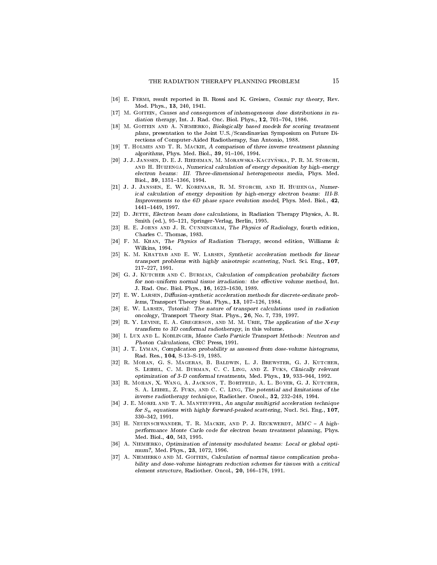- E Fermi result reported in B Rossi and K Greisen Cosmic ray theory Rev Mod Phys -
- $\mathbb{R}^n$  and consequences and consequences of inhomogeneous dose distributions in ratio  $\mathbb{R}^n$ diation there are a physical contract to a physical physical physical physical physical physical physical physical physical physical physical physical physical physical physical physical physical physical physical physical
- $\mathbf{M} = \mathbf{M}$  negative  $\mathbf{M} = \mathbf{M}$  negative models for scoring treatment models for scoring treatment models for scoring treatment models for scoring treatment models for scoring treatment models for scoring treatme plans, presentation to the Joint U.S./Scandinavian Symposium on Future Directions of Computer-Aided Radiotherapy, San Antonio, 1988.
- $T$  , the macking and T  $\alpha$  and T  $\alpha$  and T  $\alpha$  comparison of three inverse treatment planning  $\alpha$ algorithms Physical Media Biology and the Second Second Seconds and  $\mathcal{L}$
- - J J Janssen D E J Riedeman M MorawskaKaczynska P R M Stor chi and H. Huizenga, Numerical calculation of energy deposition by high-energy electron beams- III Threedimensional heterogeneous media Phys Med Biol., 39, 1351-1366, 1994.
- J Jans Storthing E W Storehouse And House Architect And House And Househouse And Househouse And Househouse And ical calculation of energy deposition by implemental electron beams-construction beams-Improvements to the D phase space evolution model Phys Med Biol - 1441-1449, 1997.
- D Jette Electron beam dose calculations in Radiation Therapy Physics A R Smith (ed.), 95-121, Springer-Verlag, Berlin, 1995.
- $\mathbb{H}^{\mathbb{R}}$  and  $\mathbb{H}^{\mathbb{R}}$  reconstructed and  $\mathbb{H}^{\mathbb{R}}$  for  $\mathbb{H}^{\mathbb{R}}$  fourth editions of  $\mathbb{H}^{\mathbb{R}}$ Charles C. Thomas, 1983.
- $\mathbb{F}$  and  $\mathbb{F}$  are  $\mathbb{F}$  the Radiation  $\mathbb{F}$  and  $\mathbb{F}$   $\mathbb{F}$  are  $\mathbb{F}$  and  $\mathbb{F}$  . The  $\mathbb{F}$ Wilkins, 1994.
- $K_{\rm eff}$  and the extension state  $K_{\rm eff}$  and  $K_{\rm eff}$  is generated methods for linear methods for linear  $K_{\rm eff}$ transport problems with highly anisotropic scattering, Nucl. Sci. Eng.,  $107$ , 217-227, 1991.
- $\mathcal{F}$  , we are complication of  $\mathcal{F}$  and  $\mathcal{F}$  and complication probability factors  $\mathcal{F}$ ... and maniform attempts the extremely the extensive volume method is an  $\mathbb{F}_q$  and J Rad Onc Biol Phys -
- E W Larsen Diusionsynthetic acceleration methods for discreteordinate prob lems Transport Theory Stat Phys -
- e w Larsen Tutorial- Tutorial- Tutorial- of the nature of the nature of the second in radiations in  $\mathcal{L}_\mathcal{A}$ oncology, Transport Theory Stat. Phys., 26, No. 7, 739, 1997.
- R Y Levine E A Gregerson and M M Urie The application of the Xray  $transform$  to  $3D$  conformal radiotherapy, in this volume.
- , is a control of the computational monte control of the computation and control particle that the control of Photon Calculations, CRC Press, 1991.
- J T Lyman Complication probability as assessed from dosevolume histograms radio de la contrada de la contrada de la contrada de la contrada de la contrada de la contrada de la contrada
- R Mohan G S Mageras B Baldwin L J Brewster G J Kutcher S. LEIBEL, C. M. BURMAN, C. C. LING, AND Z. FUKS, Clinically relevant optimization of 3-D conformal treatments, Med. Phys., 19, 933-944, 1992.
- R Mohan X Wang A Jackson T Bortfeld A L Boyer G J Kutcher S. A. LEIBEL, Z. FUKS, AND C. C. LING, The potential and limitations of the inverse radiotherapy technique, Radiother. Oncol.,  $32$ ,  $232-248$ , 1994.
- J E Morel and T A Manteuffel An angular multigrid acceleration techniques acceleration techniques acceleration techniques acceleration techniques acceleration techniques acceleration techniques acceleration techniques acc for  $S_n$  equations with highly forward-peaked scattering, Nucl. Sci. Eng., 107, --- --- --- --
- H Neuenschwander T R Machine and P J Reckwerdt MMC A higher MMC A higher MMC A highperformance Monte Carlo code for electron beam treatment planning, Phys. media and the state of the state of the state of the state of the state of the state of the state of the state
- A Niemierko Optimization of intensity modulated beams- Local or global opti mum Med Phys -
- A Niemierko and M Goitein Calculation of normal tissue complication proba bility and dose-volume histogram reduction schemes for tissues with a critical element structure, Radiother. Oncol., 20, 166-176, 1991.